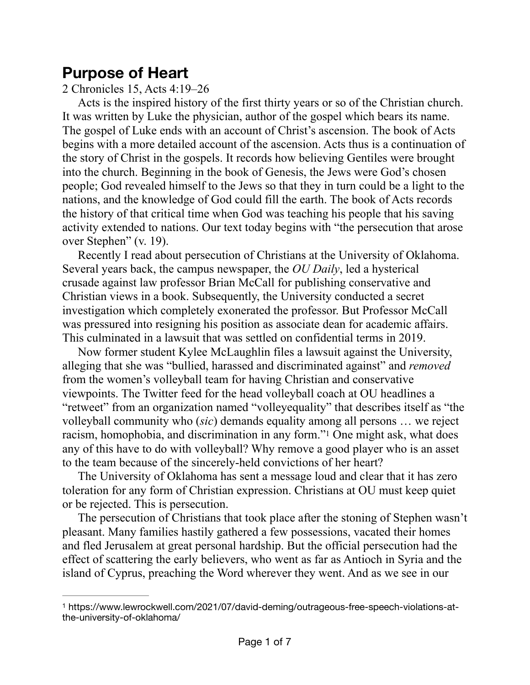## **Purpose of Heart**

2 Chronicles 15, Acts 4:19–26

Acts is the inspired history of the first thirty years or so of the Christian church. It was written by Luke the physician, author of the gospel which bears its name. The gospel of Luke ends with an account of Christ's ascension. The book of Acts begins with a more detailed account of the ascension. Acts thus is a continuation of the story of Christ in the gospels. It records how believing Gentiles were brought into the church. Beginning in the book of Genesis, the Jews were God's chosen people; God revealed himself to the Jews so that they in turn could be a light to the nations, and the knowledge of God could fill the earth. The book of Acts records the history of that critical time when God was teaching his people that his saving activity extended to nations. Our text today begins with "the persecution that arose over Stephen" (v. 19).

Recently I read about persecution of Christians at the University of Oklahoma. Several years back, the campus newspaper, the *OU Daily*, led a hysterical crusade against law professor Brian McCall for publishing conservative and Christian views in a book. Subsequently, the University conducted a secret investigation which completely exonerated the professor. But Professor McCall was pressured into resigning his position as associate dean for academic affairs. This culminated in a lawsuit that was settled on confidential terms in 2019.

Now former student Kylee McLaughlin files a lawsuit against the University, alleging that she was "bullied, harassed and discriminated against" and *removed* from the women's volleyball team for having Christian and conservative viewpoints. The Twitter feed for the head volleyball coach at OU headlines a "retweet" from an organization named "volleyequality" that describes itself as "the volleyball community who (*sic*) demands equality among all persons … we reject racism, homophobia, and discrimination in any form.["](#page-0-0)<sup>[1](#page-0-0)</sup> One might ask, what does any of this have to do with volleyball? Why remove a good player who is an asset to the team because of the sincerely-held convictions of her heart?

<span id="page-0-1"></span>The University of Oklahoma has sent a message loud and clear that it has zero toleration for any form of Christian expression. Christians at OU must keep quiet or be rejected. This is persecution.

The persecution of Christians that took place after the stoning of Stephen wasn't pleasant. Many families hastily gathered a few possessions, vacated their homes and fled Jerusalem at great personal hardship. But the official persecution had the effect of scattering the early believers, who went as far as Antioch in Syria and the island of Cyprus, preaching the Word wherever they went. And as we see in our

<span id="page-0-0"></span>https://www.lewrockwell.com/2021/07/david-deming/outrageous-free-speech-violations-at- [1](#page-0-1) the-university-of-oklahoma/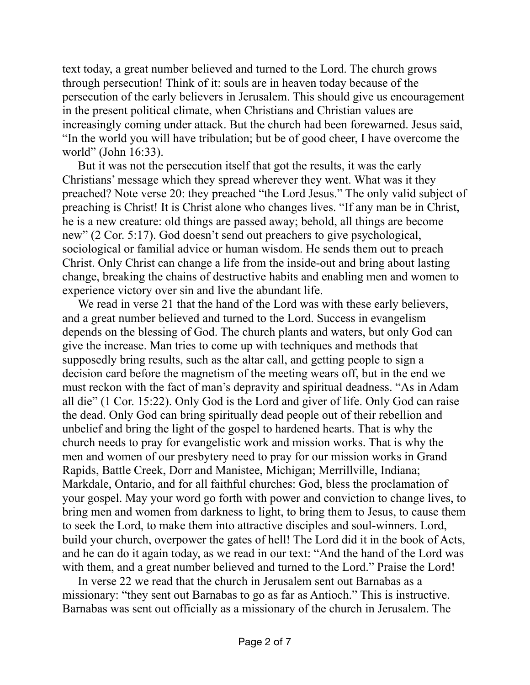text today, a great number believed and turned to the Lord. The church grows through persecution! Think of it: souls are in heaven today because of the persecution of the early believers in Jerusalem. This should give us encouragement in the present political climate, when Christians and Christian values are increasingly coming under attack. But the church had been forewarned. Jesus said, "In the world you will have tribulation; but be of good cheer, I have overcome the world" (John 16:33).

But it was not the persecution itself that got the results, it was the early Christians' message which they spread wherever they went. What was it they preached? Note verse 20: they preached "the Lord Jesus." The only valid subject of preaching is Christ! It is Christ alone who changes lives. "If any man be in Christ, he is a new creature: old things are passed away; behold, all things are become new" (2 Cor. 5:17). God doesn't send out preachers to give psychological, sociological or familial advice or human wisdom. He sends them out to preach Christ. Only Christ can change a life from the inside-out and bring about lasting change, breaking the chains of destructive habits and enabling men and women to experience victory over sin and live the abundant life.

We read in verse 21 that the hand of the Lord was with these early believers, and a great number believed and turned to the Lord. Success in evangelism depends on the blessing of God. The church plants and waters, but only God can give the increase. Man tries to come up with techniques and methods that supposedly bring results, such as the altar call, and getting people to sign a decision card before the magnetism of the meeting wears off, but in the end we must reckon with the fact of man's depravity and spiritual deadness. "As in Adam all die" (1 Cor. 15:22). Only God is the Lord and giver of life. Only God can raise the dead. Only God can bring spiritually dead people out of their rebellion and unbelief and bring the light of the gospel to hardened hearts. That is why the church needs to pray for evangelistic work and mission works. That is why the men and women of our presbytery need to pray for our mission works in Grand Rapids, Battle Creek, Dorr and Manistee, Michigan; Merrillville, Indiana; Markdale, Ontario, and for all faithful churches: God, bless the proclamation of your gospel. May your word go forth with power and conviction to change lives, to bring men and women from darkness to light, to bring them to Jesus, to cause them to seek the Lord, to make them into attractive disciples and soul-winners. Lord, build your church, overpower the gates of hell! The Lord did it in the book of Acts, and he can do it again today, as we read in our text: "And the hand of the Lord was with them, and a great number believed and turned to the Lord." Praise the Lord!

In verse 22 we read that the church in Jerusalem sent out Barnabas as a missionary: "they sent out Barnabas to go as far as Antioch." This is instructive. Barnabas was sent out officially as a missionary of the church in Jerusalem. The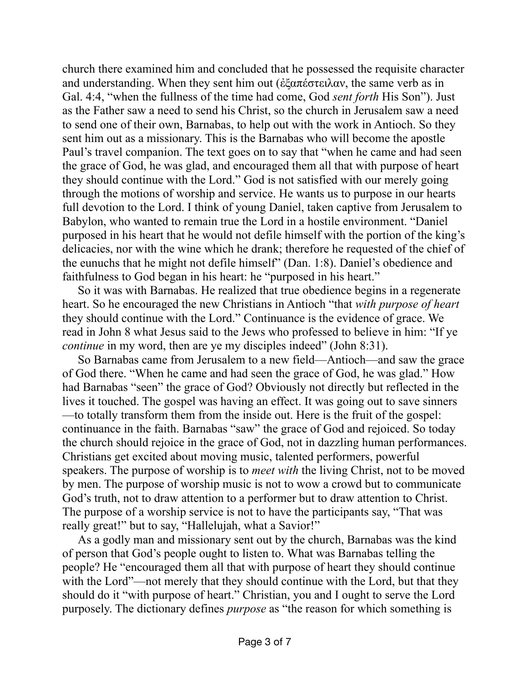church there examined him and concluded that he possessed the requisite character and understanding. When they sent him out ( $\epsilon \xi \alpha \pi \epsilon \sigma \tau \epsilon \alpha \alpha v$ , the same verb as in Gal. 4:4, "when the fullness of the time had come, God *sent forth* His Son"). Just as the Father saw a need to send his Christ, so the church in Jerusalem saw a need to send one of their own, Barnabas, to help out with the work in Antioch. So they sent him out as a missionary. This is the Barnabas who will become the apostle Paul's travel companion. The text goes on to say that "when he came and had seen the grace of God, he was glad, and encouraged them all that with purpose of heart they should continue with the Lord." God is not satisfied with our merely going through the motions of worship and service. He wants us to purpose in our hearts full devotion to the Lord. I think of young Daniel, taken captive from Jerusalem to Babylon, who wanted to remain true the Lord in a hostile environment. "Daniel purposed in his heart that he would not defile himself with the portion of the king's delicacies, nor with the wine which he drank; therefore he requested of the chief of the eunuchs that he might not defile himself" (Dan. 1:8). Daniel's obedience and faithfulness to God began in his heart: he "purposed in his heart."

So it was with Barnabas. He realized that true obedience begins in a regenerate heart. So he encouraged the new Christians in Antioch "that *with purpose of heart* they should continue with the Lord." Continuance is the evidence of grace. We read in John 8 what Jesus said to the Jews who professed to believe in him: "If ye *continue* in my word, then are ye my disciples indeed" (John 8:31).

So Barnabas came from Jerusalem to a new field—Antioch—and saw the grace of God there. "When he came and had seen the grace of God, he was glad." How had Barnabas "seen" the grace of God? Obviously not directly but reflected in the lives it touched. The gospel was having an effect. It was going out to save sinners —to totally transform them from the inside out. Here is the fruit of the gospel: continuance in the faith. Barnabas "saw" the grace of God and rejoiced. So today the church should rejoice in the grace of God, not in dazzling human performances. Christians get excited about moving music, talented performers, powerful speakers. The purpose of worship is to *meet with* the living Christ, not to be moved by men. The purpose of worship music is not to wow a crowd but to communicate God's truth, not to draw attention to a performer but to draw attention to Christ. The purpose of a worship service is not to have the participants say, "That was really great!" but to say, "Hallelujah, what a Savior!"

As a godly man and missionary sent out by the church, Barnabas was the kind of person that God's people ought to listen to. What was Barnabas telling the people? He "encouraged them all that with purpose of heart they should continue with the Lord"—not merely that they should continue with the Lord, but that they should do it "with purpose of heart." Christian, you and I ought to serve the Lord purposely. The dictionary defines *purpose* as "the reason for which something is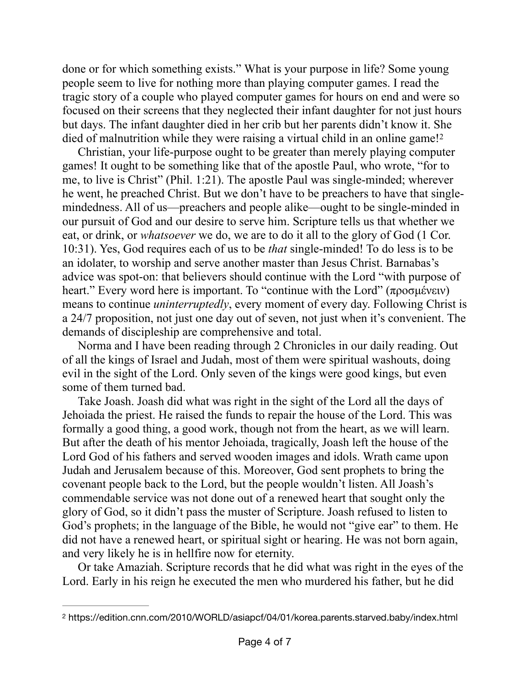done or for which something exists." What is your purpose in life? Some young people seem to live for nothing more than playing computer games. I read the tragic story of a couple who played computer games for hours on end and were so focused on their screens that they neglected their infant daughter for not just hours but days. The infant daughter died in her crib but her parents didn't know it. She died of malnutrition while they were raising a virtual child in an online game![2](#page-3-0)

<span id="page-3-1"></span>Christian, your life-purpose ought to be greater than merely playing computer games! It ought to be something like that of the apostle Paul, who wrote, "for to me, to live is Christ" (Phil. 1:21). The apostle Paul was single-minded; wherever he went, he preached Christ. But we don't have to be preachers to have that singlemindedness. All of us—preachers and people alike—ought to be single-minded in our pursuit of God and our desire to serve him. Scripture tells us that whether we eat, or drink, or *whatsoever* we do, we are to do it all to the glory of God (1 Cor. 10:31). Yes, God requires each of us to be *that* single-minded! To do less is to be an idolater, to worship and serve another master than Jesus Christ. Barnabas's advice was spot-on: that believers should continue with the Lord "with purpose of heart." Every word here is important. To "continue with the Lord" (προσµένειν) means to continue *uninterruptedly*, every moment of every day. Following Christ is a 24/7 proposition, not just one day out of seven, not just when it's convenient. The demands of discipleship are comprehensive and total.

Norma and I have been reading through 2 Chronicles in our daily reading. Out of all the kings of Israel and Judah, most of them were spiritual washouts, doing evil in the sight of the Lord. Only seven of the kings were good kings, but even some of them turned bad.

Take Joash. Joash did what was right in the sight of the Lord all the days of Jehoiada the priest. He raised the funds to repair the house of the Lord. This was formally a good thing, a good work, though not from the heart, as we will learn. But after the death of his mentor Jehoiada, tragically, Joash left the house of the Lord God of his fathers and served wooden images and idols. Wrath came upon Judah and Jerusalem because of this. Moreover, God sent prophets to bring the covenant people back to the Lord, but the people wouldn't listen. All Joash's commendable service was not done out of a renewed heart that sought only the glory of God, so it didn't pass the muster of Scripture. Joash refused to listen to God's prophets; in the language of the Bible, he would not "give ear" to them. He did not have a renewed heart, or spiritual sight or hearing. He was not born again, and very likely he is in hellfire now for eternity.

Or take Amaziah. Scripture records that he did what was right in the eyes of the Lord. Early in his reign he executed the men who murdered his father, but he did

<span id="page-3-0"></span>https://edition.cnn.com/2010/WORLD/asiapcf/04/01/korea.parents.starved.baby/index.html [2](#page-3-1)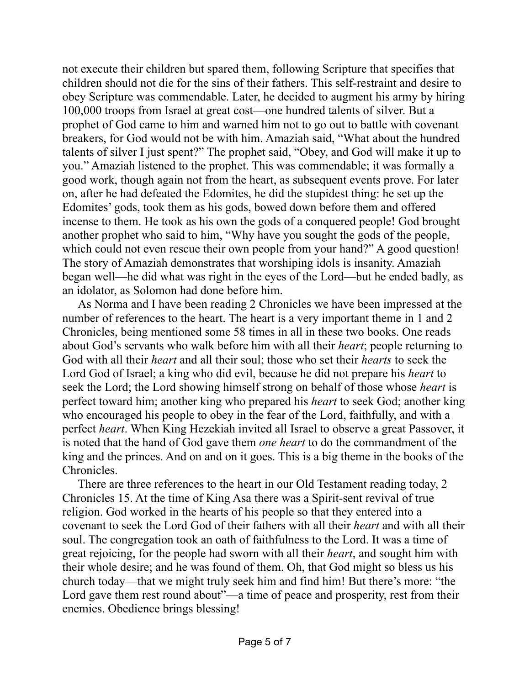not execute their children but spared them, following Scripture that specifies that children should not die for the sins of their fathers. This self-restraint and desire to obey Scripture was commendable. Later, he decided to augment his army by hiring 100,000 troops from Israel at great cost—one hundred talents of silver. But a prophet of God came to him and warned him not to go out to battle with covenant breakers, for God would not be with him. Amaziah said, "What about the hundred talents of silver I just spent?" The prophet said, "Obey, and God will make it up to you." Amaziah listened to the prophet. This was commendable; it was formally a good work, though again not from the heart, as subsequent events prove. For later on, after he had defeated the Edomites, he did the stupidest thing: he set up the Edomites' gods, took them as his gods, bowed down before them and offered incense to them. He took as his own the gods of a conquered people! God brought another prophet who said to him, "Why have you sought the gods of the people, which could not even rescue their own people from your hand?" A good question! The story of Amaziah demonstrates that worshiping idols is insanity. Amaziah began well—he did what was right in the eyes of the Lord—but he ended badly, as an idolator, as Solomon had done before him.

As Norma and I have been reading 2 Chronicles we have been impressed at the number of references to the heart. The heart is a very important theme in 1 and 2 Chronicles, being mentioned some 58 times in all in these two books. One reads about God's servants who walk before him with all their *heart*; people returning to God with all their *heart* and all their soul; those who set their *hearts* to seek the Lord God of Israel; a king who did evil, because he did not prepare his *heart* to seek the Lord; the Lord showing himself strong on behalf of those whose *heart* is perfect toward him; another king who prepared his *heart* to seek God; another king who encouraged his people to obey in the fear of the Lord, faithfully, and with a perfect *heart*. When King Hezekiah invited all Israel to observe a great Passover, it is noted that the hand of God gave them *one heart* to do the commandment of the king and the princes. And on and on it goes. This is a big theme in the books of the Chronicles.

There are three references to the heart in our Old Testament reading today, 2 Chronicles 15. At the time of King Asa there was a Spirit-sent revival of true religion. God worked in the hearts of his people so that they entered into a covenant to seek the Lord God of their fathers with all their *heart* and with all their soul. The congregation took an oath of faithfulness to the Lord. It was a time of great rejoicing, for the people had sworn with all their *heart*, and sought him with their whole desire; and he was found of them. Oh, that God might so bless us his church today—that we might truly seek him and find him! But there's more: "the Lord gave them rest round about"—a time of peace and prosperity, rest from their enemies. Obedience brings blessing!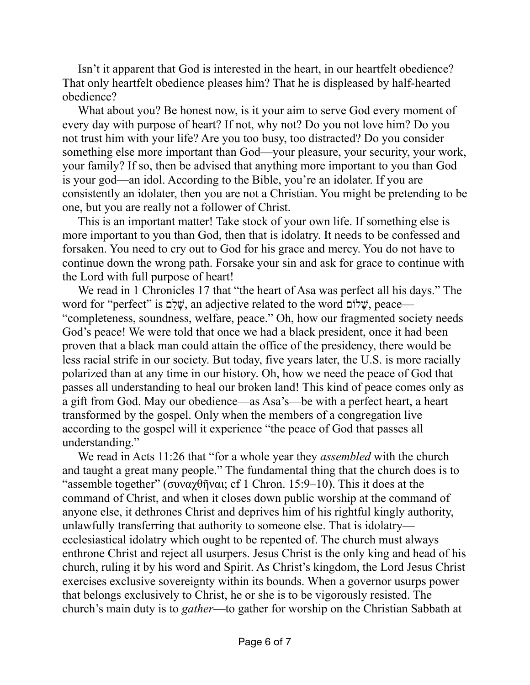Isn't it apparent that God is interested in the heart, in our heartfelt obedience? That only heartfelt obedience pleases him? That he is displeased by half-hearted obedience?

What about you? Be honest now, is it your aim to serve God every moment of every day with purpose of heart? If not, why not? Do you not love him? Do you not trust him with your life? Are you too busy, too distracted? Do you consider something else more important than God—your pleasure, your security, your work, your family? If so, then be advised that anything more important to you than God is your god—an idol. According to the Bible, you're an idolater. If you are consistently an idolater, then you are not a Christian. You might be pretending to be one, but you are really not a follower of Christ.

This is an important matter! Take stock of your own life. If something else is more important to you than God, then that is idolatry. It needs to be confessed and forsaken. You need to cry out to God for his grace and mercy. You do not have to continue down the wrong path. Forsake your sin and ask for grace to continue with the Lord with full purpose of heart!

We read in 1 Chronicles 17 that "the heart of Asa was perfect all his days." The word for "perfect" is םֵלָשׁ, an adjective related to the word לוֹםָשׁ, peace— "completeness, soundness, welfare, peace." Oh, how our fragmented society needs God's peace! We were told that once we had a black president, once it had been proven that a black man could attain the office of the presidency, there would be less racial strife in our society. But today, five years later, the U.S. is more racially polarized than at any time in our history. Oh, how we need the peace of God that passes all understanding to heal our broken land! This kind of peace comes only as a gift from God. May our obedience—as Asa's—be with a perfect heart, a heart transformed by the gospel. Only when the members of a congregation live according to the gospel will it experience "the peace of God that passes all understanding."

We read in Acts 11:26 that "for a whole year they *assembled* with the church and taught a great many people." The fundamental thing that the church does is to "assemble together" (συναχθῆναι; cf 1 Chron. 15:9–10). This it does at the command of Christ, and when it closes down public worship at the command of anyone else, it dethrones Christ and deprives him of his rightful kingly authority, unlawfully transferring that authority to someone else. That is idolatry ecclesiastical idolatry which ought to be repented of. The church must always enthrone Christ and reject all usurpers. Jesus Christ is the only king and head of his church, ruling it by his word and Spirit. As Christ's kingdom, the Lord Jesus Christ exercises exclusive sovereignty within its bounds. When a governor usurps power that belongs exclusively to Christ, he or she is to be vigorously resisted. The church's main duty is to *gather*—to gather for worship on the Christian Sabbath at